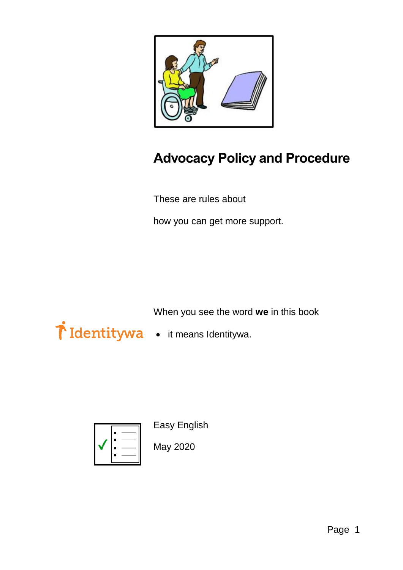

## **Advocacy Policy and Procedure**

These are rules about

how you can get more support.

When you see the word **we** in this book

- Tidentitywa it means Identitywa.
	-



Easy English

May 2020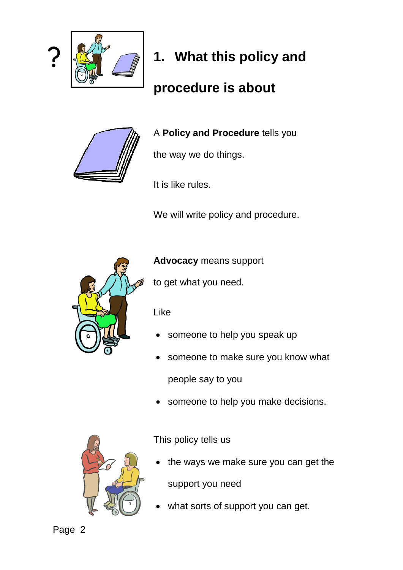

# **1. What this policy and**

## **procedure is about**



A **Policy and Procedure** tells you

the way we do things.

It is like rules.

We will write policy and procedure.



**Advocacy** means support

to get what you need.

Like

- someone to help you speak up
- someone to make sure you know what people say to you
- someone to help you make decisions.



This policy tells us

- the ways we make sure you can get the support you need
- what sorts of support you can get.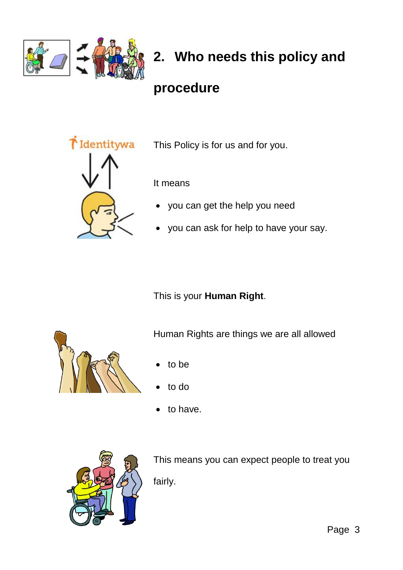

## **2. Who needs this policy and**

### **procedure**



This Policy is for us and for you.

It means

- you can get the help you need
- you can ask for help to have your say.

This is your **Human Right**.



Human Rights are things we are all allowed

- to be
- to do
- to have.



This means you can expect people to treat you fairly.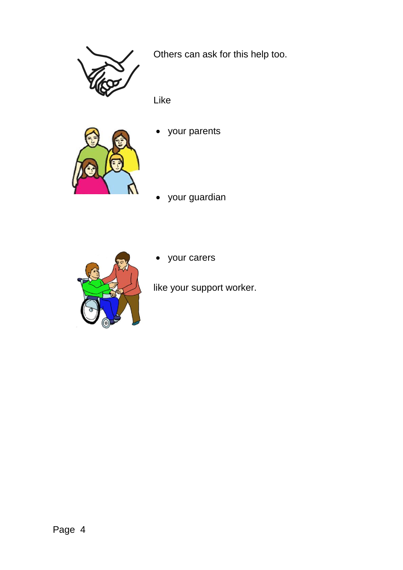

Others can ask for this help too.

Like



your parents

your guardian



your carers

like your support worker.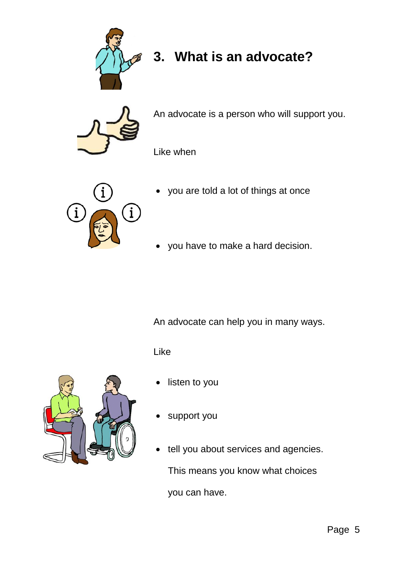

## **3. What is an advocate?**



An advocate is a person who will support you.

Like when



- you are told a lot of things at once
- you have to make a hard decision.

An advocate can help you in many ways.

Like



- listen to you
- support you
- tell you about services and agencies. This means you know what choices you can have.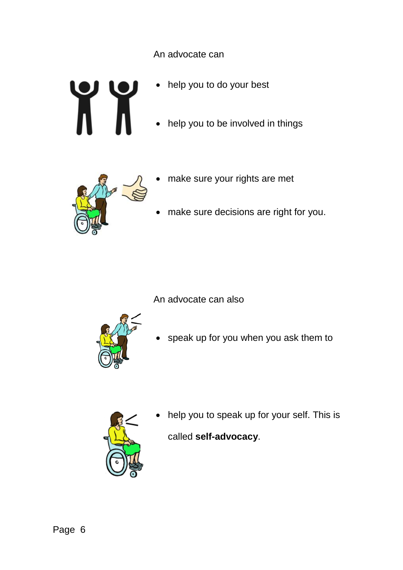An advocate can

- help you to do your best
- help you to be involved in things



- make sure your rights are met
- make sure decisions are right for you.

An advocate can also



• speak up for you when you ask them to



 help you to speak up for your self. This is called **self-advocacy**.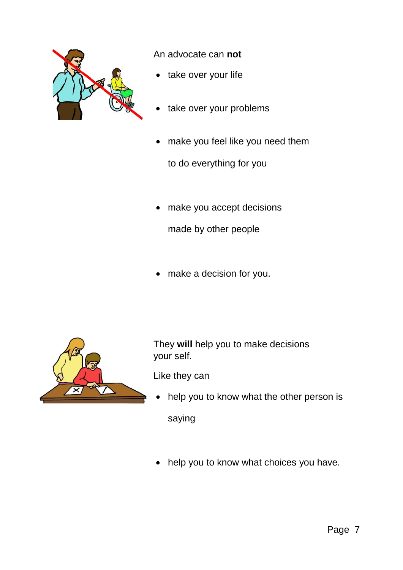

An advocate can **not**

- take over your life
- take over your problems
- make you feel like you need them to do everything for you
- make you accept decisions
	- made by other people
- make a decision for you.



They **will** help you to make decisions your self.

Like they can

help you to know what the other person is

saying

• help you to know what choices you have.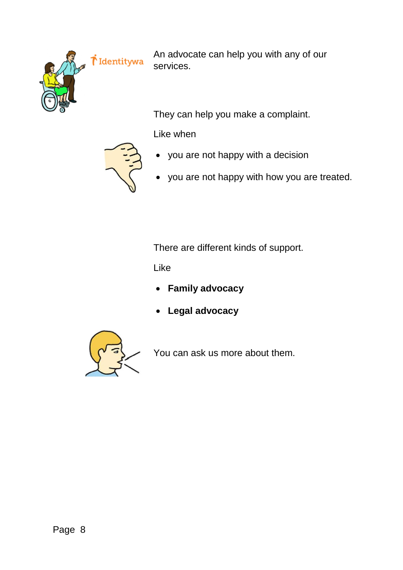

*i* Identitywa

An advocate can help you with any of our services.

They can help you make a complaint.

Like when



- you are not happy with a decision
- you are not happy with how you are treated.

There are different kinds of support.

Like

- **Family advocacy**
- **Legal advocacy**



You can ask us more about them.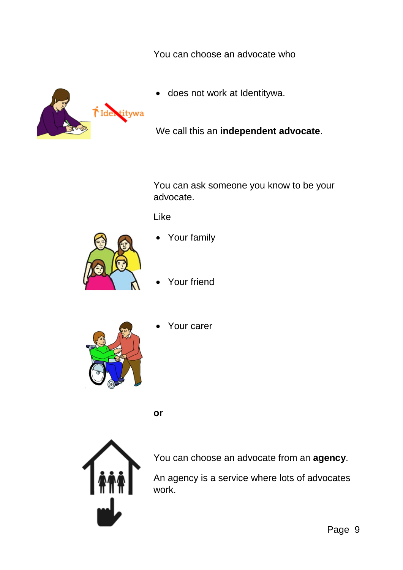You can choose an advocate who



does not work at Identitywa.

We call this an **independent advocate**.

You can ask someone you know to be your advocate.

Like



- Your family
- Your friend



Your carer

**or**



You can choose an advocate from an **agency**.

An agency is a service where lots of advocates work.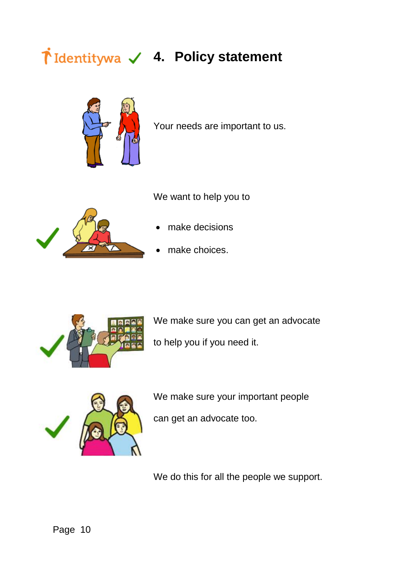# **4. Policy statement**



Your needs are important to us.

We want to help you to



- make decisions
- make choices.



We make sure you can get an advocate to help you if you need it.



We make sure your important people

can get an advocate too.

We do this for all the people we support.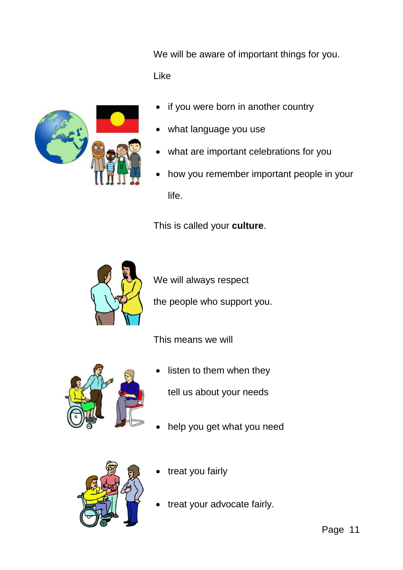We will be aware of important things for you. Like



- if you were born in another country
- what language you use
- what are important celebrations for you
- how you remember important people in your life.

This is called your **culture**.



We will always respect

the people who support you.

This means we will



listen to them when they

tell us about your needs

help you get what you need



- treat you fairly
- treat your advocate fairly.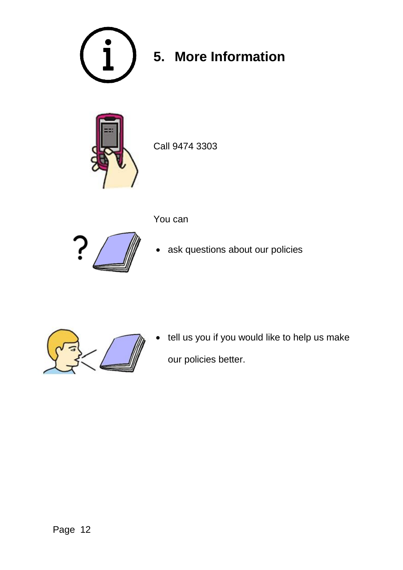

# **5. More Information**



Call 9474 3303



- You can
- ask questions about our policies



 tell us you if you would like to help us make our policies better.